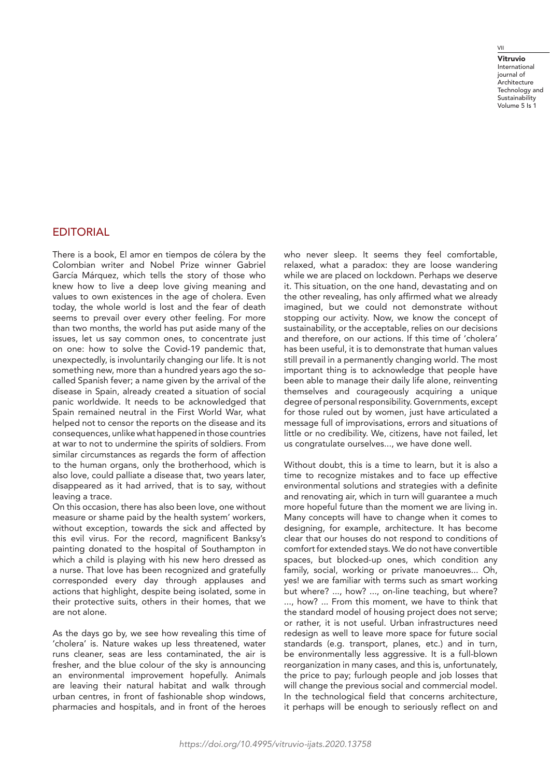## VII

Vitruvio International journal of **Architecture** Technology and **Sustainability** Volume 5 Is 1

## **EDITORIAL**

There is a book, El amor en tiempos de cólera by the Colombian writer and Nobel Prize winner Gabriel García Márquez, which tells the story of those who knew how to live a deep love giving meaning and values to own existences in the age of cholera. Even today, the whole world is lost and the fear of death seems to prevail over every other feeling. For more than two months, the world has put aside many of the issues, let us say common ones, to concentrate just on one: how to solve the Covid-19 pandemic that, unexpectedly, is involuntarily changing our life. It is not something new, more than a hundred years ago the socalled Spanish fever; a name given by the arrival of the disease in Spain, already created a situation of social panic worldwide. It needs to be acknowledged that Spain remained neutral in the First World War, what helped not to censor the reports on the disease and its consequences, unlike what happened in those countries at war to not to undermine the spirits of soldiers. From similar circumstances as regards the form of affection to the human organs, only the brotherhood, which is also love, could palliate a disease that, two years later, disappeared as it had arrived, that is to say, without leaving a trace.

On this occasion, there has also been love, one without measure or shame paid by the health system' workers, without exception, towards the sick and affected by this evil virus. For the record, magnificent Banksy's painting donated to the hospital of Southampton in which a child is playing with his new hero dressed as a nurse. That love has been recognized and gratefully corresponded every day through applauses and actions that highlight, despite being isolated, some in their protective suits, others in their homes, that we are not alone.

As the days go by, we see how revealing this time of 'cholera' is. Nature wakes up less threatened, water runs cleaner, seas are less contaminated, the air is fresher, and the blue colour of the sky is announcing an environmental improvement hopefully. Animals are leaving their natural habitat and walk through urban centres, in front of fashionable shop windows, pharmacies and hospitals, and in front of the heroes

who never sleep. It seems they feel comfortable, relaxed, what a paradox: they are loose wandering while we are placed on lockdown. Perhaps we deserve it. This situation, on the one hand, devastating and on the other revealing, has only affirmed what we already imagined, but we could not demonstrate without stopping our activity. Now, we know the concept of sustainability, or the acceptable, relies on our decisions and therefore, on our actions. If this time of 'cholera' has been useful, it is to demonstrate that human values still prevail in a permanently changing world. The most important thing is to acknowledge that people have been able to manage their daily life alone, reinventing themselves and courageously acquiring a unique degree of personal responsibility. Governments, except for those ruled out by women, just have articulated a message full of improvisations, errors and situations of little or no credibility. We, citizens, have not failed, let us congratulate ourselves..., we have done well.

Without doubt, this is a time to learn, but it is also a time to recognize mistakes and to face up effective environmental solutions and strategies with a definite and renovating air, which in turn will guarantee a much more hopeful future than the moment we are living in. Many concepts will have to change when it comes to designing, for example, architecture. It has become clear that our houses do not respond to conditions of comfort for extended stays. We do not have convertible spaces, but blocked-up ones, which condition any family, social, working or private manoeuvres... Oh, yes! we are familiar with terms such as smart working but where? ..., how? ..., on-line teaching, but where? ..., how? ... From this moment, we have to think that the standard model of housing project does not serve; or rather, it is not useful. Urban infrastructures need redesign as well to leave more space for future social standards (e.g. transport, planes, etc.) and in turn, be environmentally less aggressive. It is a full-blown reorganization in many cases, and this is, unfortunately, the price to pay; furlough people and job losses that will change the previous social and commercial model. In the technological field that concerns architecture, it perhaps will be enough to seriously reflect on and